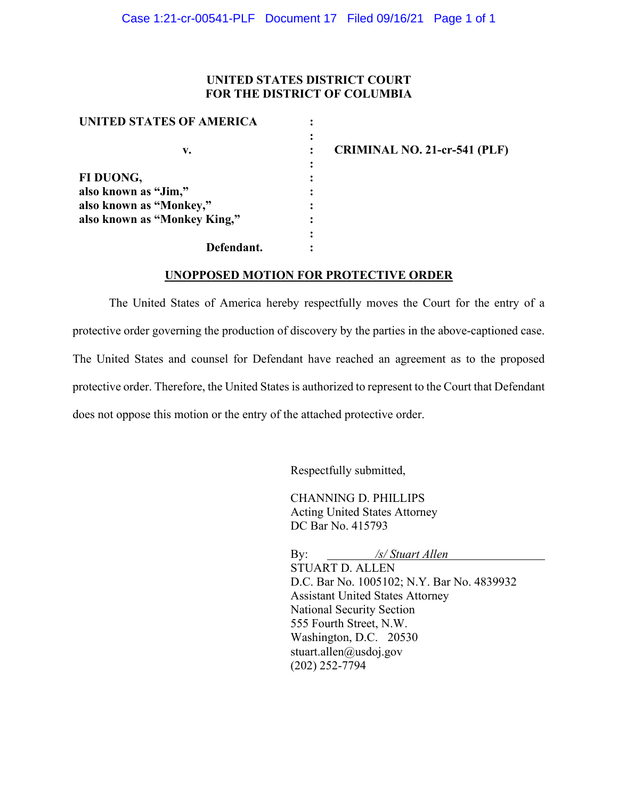### **UNITED STATES DISTRICT COURT FOR THE DISTRICT OF COLUMBIA**

| UNITED STATES OF AMERICA     |                                     |
|------------------------------|-------------------------------------|
| v.                           | <b>CRIMINAL NO. 21-cr-541 (PLF)</b> |
| FI DUONG,                    |                                     |
| also known as "Jim,"         |                                     |
| also known as "Monkey,"      |                                     |
| also known as "Monkey King," |                                     |
|                              |                                     |
| Defendant.                   |                                     |

#### **UNOPPOSED MOTION FOR PROTECTIVE ORDER**

The United States of America hereby respectfully moves the Court for the entry of a protective order governing the production of discovery by the parties in the above-captioned case. The United States and counsel for Defendant have reached an agreement as to the proposed protective order. Therefore, the United States is authorized to represent to the Court that Defendant does not oppose this motion or the entry of the attached protective order.

Respectfully submitted,

CHANNING D. PHILLIPS Acting United States Attorney DC Bar No. 415793

By: */s/ Stuart Allen* STUART D. ALLEN D.C. Bar No. 1005102; N.Y. Bar No. 4839932 Assistant United States Attorney National Security Section 555 Fourth Street, N.W. Washington, D.C. 20530 stuart.allen@usdoj.gov (202) 252-7794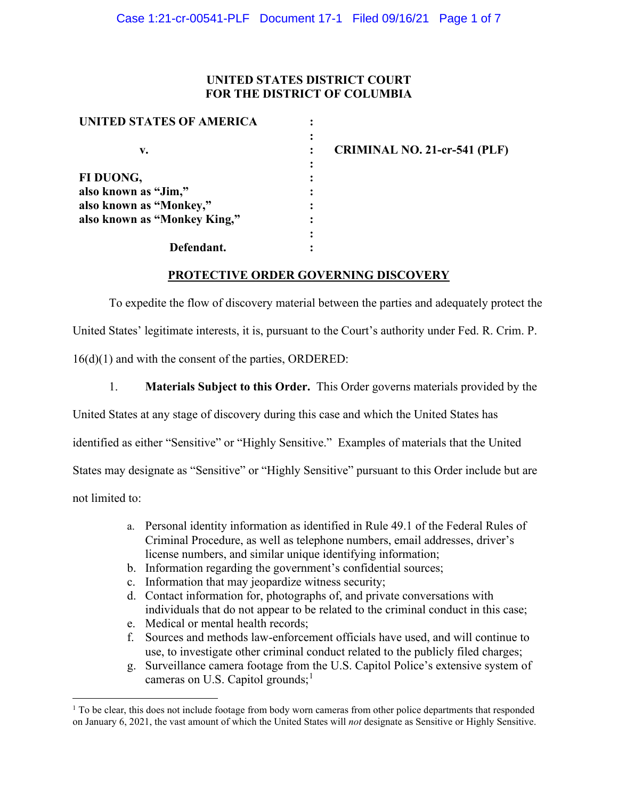## **UNITED STATES DISTRICT COURT FOR THE DISTRICT OF COLUMBIA**

| UNITED STATES OF AMERICA     |                |                                     |
|------------------------------|----------------|-------------------------------------|
|                              | $\ddot{\cdot}$ |                                     |
| v.                           |                | <b>CRIMINAL NO. 21-cr-541 (PLF)</b> |
|                              |                |                                     |
| FI DUONG,                    |                |                                     |
| also known as "Jim,"         |                |                                     |
| also known as "Monkey,"      |                |                                     |
| also known as "Monkey King," |                |                                     |
|                              |                |                                     |
| Defendant.                   |                |                                     |

# **PROTECTIVE ORDER GOVERNING DISCOVERY**

To expedite the flow of discovery material between the parties and adequately protect the United States' legitimate interests, it is, pursuant to the Court's authority under Fed. R. Crim. P. 16(d)(1) and with the consent of the parties, ORDERED:

1. **Materials Subject to this Order.** This Order governs materials provided by the

United States at any stage of discovery during this case and which the United States has

identified as either "Sensitive" or "Highly Sensitive." Examples of materials that the United

States may designate as "Sensitive" or "Highly Sensitive" pursuant to this Order include but are

not limited to:

- a. Personal identity information as identified in Rule 49.1 of the Federal Rules of Criminal Procedure, as well as telephone numbers, email addresses, driver's license numbers, and similar unique identifying information;
- b. Information regarding the government's confidential sources;
- c. Information that may jeopardize witness security;
- d. Contact information for, photographs of, and private conversations with individuals that do not appear to be related to the criminal conduct in this case;
- e. Medical or mental health records;
- f. Sources and methods law-enforcement officials have used, and will continue to use, to investigate other criminal conduct related to the publicly filed charges;
- g. Surveillance camera footage from the U.S. Capitol Police's extensive system of cameras on U.S. Capitol grounds;<sup>1</sup>

<sup>&</sup>lt;sup>1</sup> To be clear, this does not include footage from body worn cameras from other police departments that responded on January 6, 2021, the vast amount of which the United States will *not* designate as Sensitive or Highly Sensitive.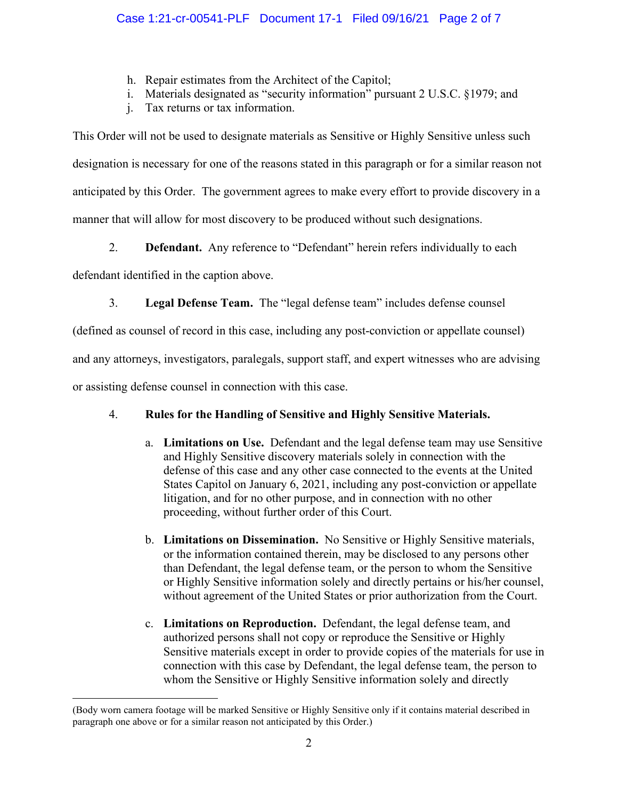- h. Repair estimates from the Architect of the Capitol;
- i. Materials designated as "security information" pursuant 2 U.S.C. §1979; and
- j. Tax returns or tax information.

This Order will not be used to designate materials as Sensitive or Highly Sensitive unless such designation is necessary for one of the reasons stated in this paragraph or for a similar reason not anticipated by this Order. The government agrees to make every effort to provide discovery in a manner that will allow for most discovery to be produced without such designations.

2. **Defendant.** Any reference to "Defendant" herein refers individually to each

defendant identified in the caption above.

3. **Legal Defense Team.** The "legal defense team" includes defense counsel

(defined as counsel of record in this case, including any post-conviction or appellate counsel)

and any attorneys, investigators, paralegals, support staff, and expert witnesses who are advising

or assisting defense counsel in connection with this case.

# 4. **Rules for the Handling of Sensitive and Highly Sensitive Materials.**

- a. **Limitations on Use.** Defendant and the legal defense team may use Sensitive and Highly Sensitive discovery materials solely in connection with the defense of this case and any other case connected to the events at the United States Capitol on January 6, 2021, including any post-conviction or appellate litigation, and for no other purpose, and in connection with no other proceeding, without further order of this Court.
- b. **Limitations on Dissemination.** No Sensitive or Highly Sensitive materials, or the information contained therein, may be disclosed to any persons other than Defendant, the legal defense team, or the person to whom the Sensitive or Highly Sensitive information solely and directly pertains or his/her counsel, without agreement of the United States or prior authorization from the Court.
- c. **Limitations on Reproduction.** Defendant, the legal defense team, and authorized persons shall not copy or reproduce the Sensitive or Highly Sensitive materials except in order to provide copies of the materials for use in connection with this case by Defendant, the legal defense team, the person to whom the Sensitive or Highly Sensitive information solely and directly

<sup>(</sup>Body worn camera footage will be marked Sensitive or Highly Sensitive only if it contains material described in paragraph one above or for a similar reason not anticipated by this Order.)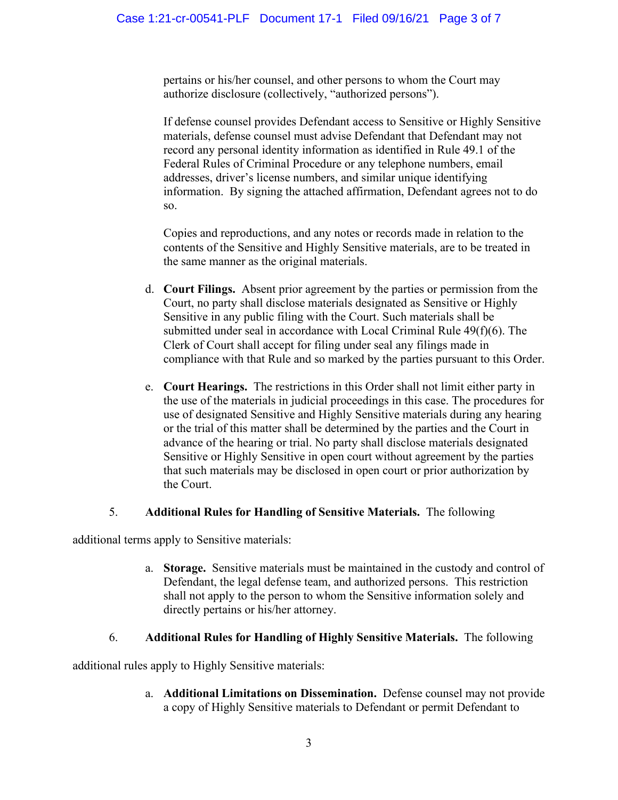pertains or his/her counsel, and other persons to whom the Court may authorize disclosure (collectively, "authorized persons").

If defense counsel provides Defendant access to Sensitive or Highly Sensitive materials, defense counsel must advise Defendant that Defendant may not record any personal identity information as identified in Rule 49.1 of the Federal Rules of Criminal Procedure or any telephone numbers, email addresses, driver's license numbers, and similar unique identifying information. By signing the attached affirmation, Defendant agrees not to do so.

Copies and reproductions, and any notes or records made in relation to the contents of the Sensitive and Highly Sensitive materials, are to be treated in the same manner as the original materials.

- d. **Court Filings.** Absent prior agreement by the parties or permission from the Court, no party shall disclose materials designated as Sensitive or Highly Sensitive in any public filing with the Court. Such materials shall be submitted under seal in accordance with Local Criminal Rule 49(f)(6). The Clerk of Court shall accept for filing under seal any filings made in compliance with that Rule and so marked by the parties pursuant to this Order.
- e. **Court Hearings.** The restrictions in this Order shall not limit either party in the use of the materials in judicial proceedings in this case. The procedures for use of designated Sensitive and Highly Sensitive materials during any hearing or the trial of this matter shall be determined by the parties and the Court in advance of the hearing or trial. No party shall disclose materials designated Sensitive or Highly Sensitive in open court without agreement by the parties that such materials may be disclosed in open court or prior authorization by the Court.

# 5. **Additional Rules for Handling of Sensitive Materials.** The following

additional terms apply to Sensitive materials:

a. **Storage.** Sensitive materials must be maintained in the custody and control of Defendant, the legal defense team, and authorized persons. This restriction shall not apply to the person to whom the Sensitive information solely and directly pertains or his/her attorney.

# 6. **Additional Rules for Handling of Highly Sensitive Materials.** The following

additional rules apply to Highly Sensitive materials:

a. **Additional Limitations on Dissemination.** Defense counsel may not provide a copy of Highly Sensitive materials to Defendant or permit Defendant to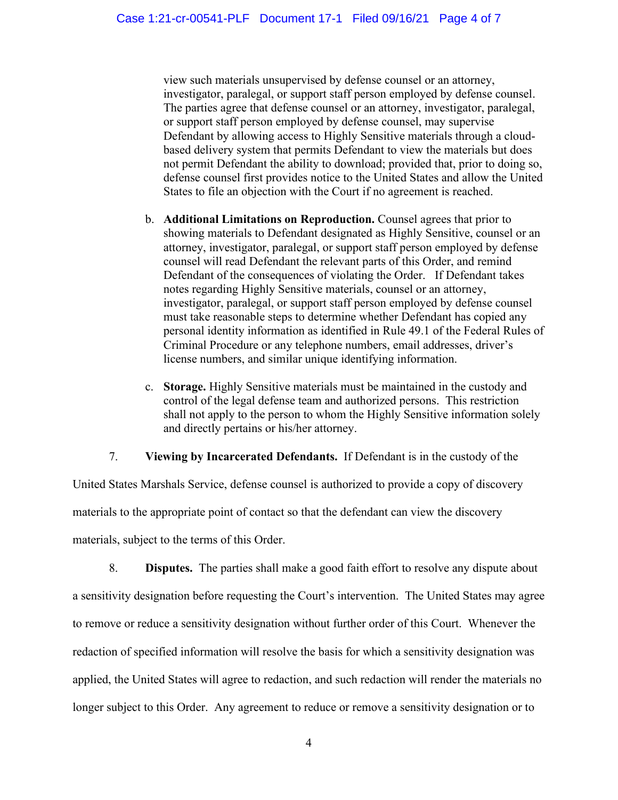view such materials unsupervised by defense counsel or an attorney, investigator, paralegal, or support staff person employed by defense counsel. The parties agree that defense counsel or an attorney, investigator, paralegal, or support staff person employed by defense counsel, may supervise Defendant by allowing access to Highly Sensitive materials through a cloudbased delivery system that permits Defendant to view the materials but does not permit Defendant the ability to download; provided that, prior to doing so, defense counsel first provides notice to the United States and allow the United States to file an objection with the Court if no agreement is reached.

- b. **Additional Limitations on Reproduction.** Counsel agrees that prior to showing materials to Defendant designated as Highly Sensitive, counsel or an attorney, investigator, paralegal, or support staff person employed by defense counsel will read Defendant the relevant parts of this Order, and remind Defendant of the consequences of violating the Order. If Defendant takes notes regarding Highly Sensitive materials, counsel or an attorney, investigator, paralegal, or support staff person employed by defense counsel must take reasonable steps to determine whether Defendant has copied any personal identity information as identified in Rule 49.1 of the Federal Rules of Criminal Procedure or any telephone numbers, email addresses, driver's license numbers, and similar unique identifying information.
- c. **Storage.** Highly Sensitive materials must be maintained in the custody and control of the legal defense team and authorized persons. This restriction shall not apply to the person to whom the Highly Sensitive information solely and directly pertains or his/her attorney.

# 7. **Viewing by Incarcerated Defendants.** If Defendant is in the custody of the

United States Marshals Service, defense counsel is authorized to provide a copy of discovery materials to the appropriate point of contact so that the defendant can view the discovery materials, subject to the terms of this Order.

8. **Disputes.** The parties shall make a good faith effort to resolve any dispute about a sensitivity designation before requesting the Court's intervention. The United States may agree to remove or reduce a sensitivity designation without further order of this Court. Whenever the redaction of specified information will resolve the basis for which a sensitivity designation was applied, the United States will agree to redaction, and such redaction will render the materials no longer subject to this Order. Any agreement to reduce or remove a sensitivity designation or to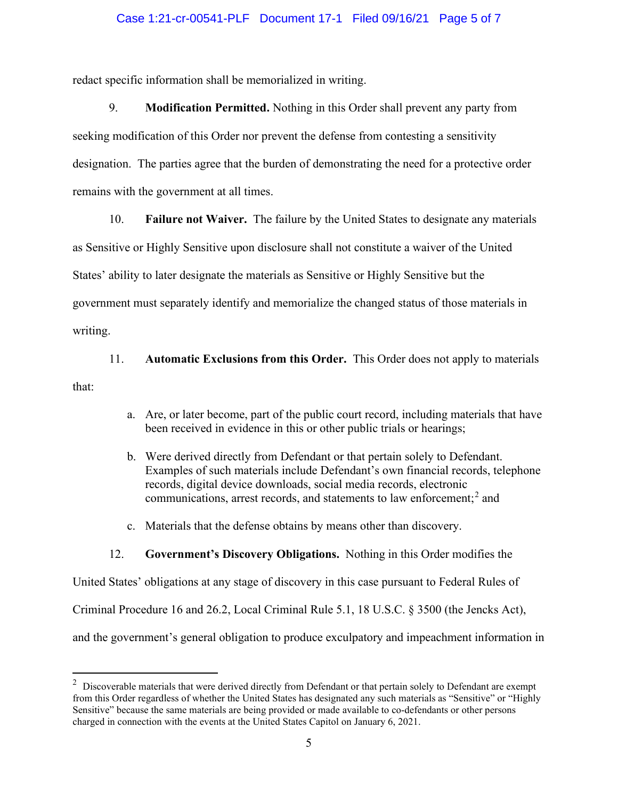#### Case 1:21-cr-00541-PLF Document 17-1 Filed 09/16/21 Page 5 of 7

redact specific information shall be memorialized in writing.

9. **Modification Permitted.** Nothing in this Order shall prevent any party from seeking modification of this Order nor prevent the defense from contesting a sensitivity designation. The parties agree that the burden of demonstrating the need for a protective order remains with the government at all times.

10. **Failure not Waiver.** The failure by the United States to designate any materials

as Sensitive or Highly Sensitive upon disclosure shall not constitute a waiver of the United

States' ability to later designate the materials as Sensitive or Highly Sensitive but the

government must separately identify and memorialize the changed status of those materials in

writing.

11. **Automatic Exclusions from this Order.** This Order does not apply to materials

that:

- a. Are, or later become, part of the public court record, including materials that have been received in evidence in this or other public trials or hearings;
- b. Were derived directly from Defendant or that pertain solely to Defendant. Examples of such materials include Defendant's own financial records, telephone records, digital device downloads, social media records, electronic communications, arrest records, and statements to law enforcement; <sup>2</sup> and
- c. Materials that the defense obtains by means other than discovery.

### 12. **Government's Discovery Obligations.** Nothing in this Order modifies the

United States' obligations at any stage of discovery in this case pursuant to Federal Rules of Criminal Procedure 16 and 26.2, Local Criminal Rule 5.1, 18 U.S.C. § 3500 (the Jencks Act), and the government's general obligation to produce exculpatory and impeachment information in

 $2$  Discoverable materials that were derived directly from Defendant or that pertain solely to Defendant are exempt from this Order regardless of whether the United States has designated any such materials as "Sensitive" or "Highly Sensitive" because the same materials are being provided or made available to co-defendants or other persons charged in connection with the events at the United States Capitol on January 6, 2021.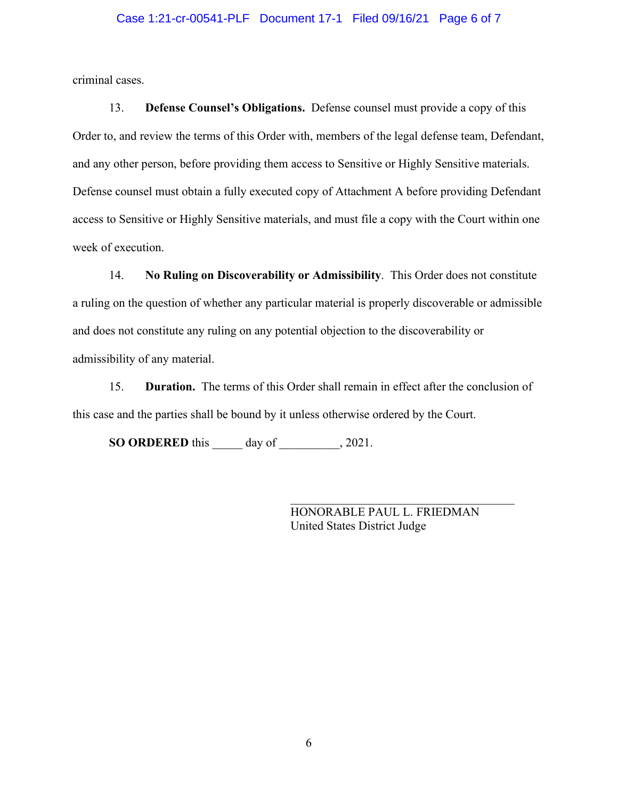#### Case 1:21-cr-00541-PLF Document 17-1 Filed 09/16/21 Page 6 of 7

criminal cases.

13. **Defense Counsel's Obligations.** Defense counsel must provide a copy of this Order to, and review the terms of this Order with, members of the legal defense team, Defendant, and any other person, before providing them access to Sensitive or Highly Sensitive materials. Defense counsel must obtain a fully executed copy of Attachment A before providing Defendant access to Sensitive or Highly Sensitive materials, and must file a copy with the Court within one week of execution.

14. **No Ruling on Discoverability or Admissibility**. This Order does not constitute a ruling on the question of whether any particular material is properly discoverable or admissible and does not constitute any ruling on any potential objection to the discoverability or admissibility of any material.

15. **Duration.** The terms of this Order shall remain in effect after the conclusion of this case and the parties shall be bound by it unless otherwise ordered by the Court.

**SO ORDERED** this \_\_\_\_\_ day of \_\_\_\_\_\_\_\_, 2021.

HONORABLE PAUL L. FRIEDMAN United States District Judge

\_\_\_\_\_\_\_\_\_\_\_\_\_\_\_\_\_\_\_\_\_\_\_\_\_\_\_\_\_\_\_\_\_\_\_\_\_